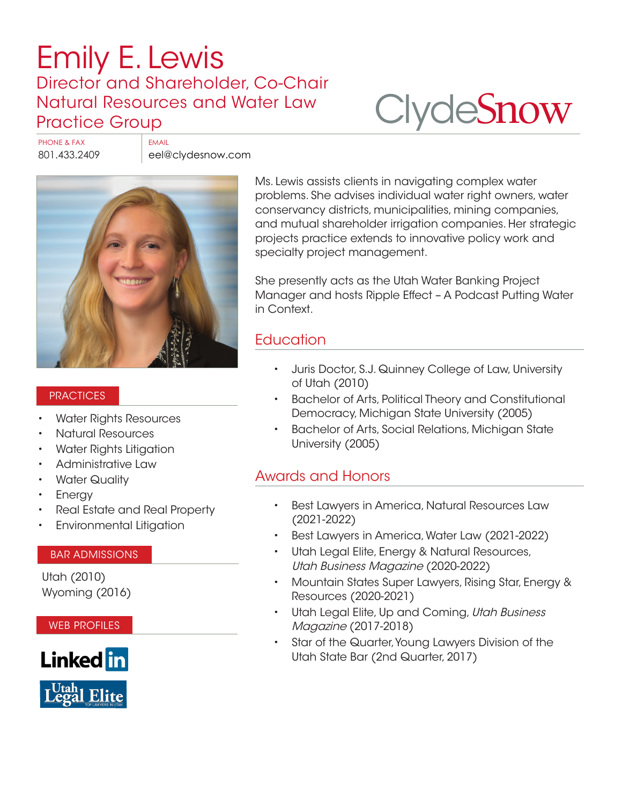# [Emily E. Lewis](https://www.clydesnow.com/attorneys/41-emily-e-lewis) Director and Shareholder, Co-Chair Natural Resources and Water Law Practice Group

# **Clyde[Snow](http://www.clydesnow.com)**

PHONE & FAX FAX FMAIL

801.433.2409 eel@clydesnow.com



#### **PRACTICES**

- Water Rights Resources
- Natural Resources
- Water Rights Litigation
- Administrative Law
- **Water Quality**
- **Energy**
- Real Estate and Real Property
- Environmental Litigation

#### BAR ADMISSIONS

Utah (2010) Wyoming (2016)

WEB PROFILES



Ms. Lewis assists clients in navigating complex water problems. She advises individual water right owners, water conservancy districts, municipalities, mining companies, and mutual shareholder irrigation companies. Her strategic projects practice extends to innovative policy work and specialty project management.

She presently acts as the Utah Water Banking Project Manager and hosts Ripple Effect – A Podcast Putting Water in Context.

#### **Education**

- Juris Doctor, S.J. Quinney College of Law, University of Utah (2010)
- Bachelor of Arts, Political Theory and Constitutional Democracy, Michigan State University (2005)
- Bachelor of Arts, Social Relations, Michigan State University (2005)

#### Awards and Honors

- Best Lawyers in America, Natural Resources Law (2021-2022)
- Best Lawyers in America, Water Law (2021-2022)
- Utah Legal Elite, Energy & Natural Resources, Utah Business Magazine (2020-2022)
- Mountain States Super Lawyers, Rising Star, Energy & Resources (2020-2021)
- Utah Legal Elite, Up and Coming, Utah Business Magazine (2017-2018)
- Star of the Quarter, Young Lawyers Division of the Utah State Bar (2nd Quarter, 2017)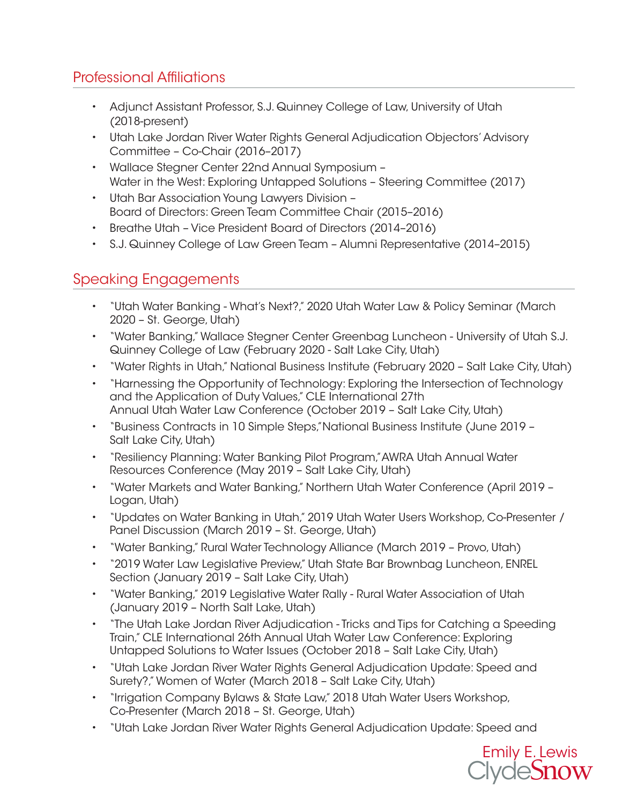## Professional Affiliations

- Adjunct Assistant Professor, S.J. Quinney College of Law, University of Utah (2018-present)
- Utah Lake Jordan River Water Rights General Adjudication Objectors' Advisory Committee – Co-Chair (2016–2017)
- Wallace Stegner Center 22nd Annual Symposium Water in the West: Exploring Untapped Solutions – Steering Committee (2017)
- Utah Bar Association Young Lawyers Division Board of Directors: Green Team Committee Chair (2015–2016)
- Breathe Utah Vice President Board of Directors (2014–2016)
- S.J. Quinney College of Law Green Team Alumni Representative (2014–2015)

### Speaking Engagements

- "Utah Water Banking What's Next?," 2020 Utah Water Law & Policy Seminar (March 2020 – St. George, Utah)
- "Water Banking," Wallace Stegner Center Greenbag Luncheon University of Utah S.J. Quinney College of Law (February 2020 - Salt Lake City, Utah)
- "Water Rights in Utah," National Business Institute (February 2020 Salt Lake City, Utah)
- "Harnessing the Opportunity of Technology: Exploring the Intersection of Technology and the Application of Duty Values," CLE International 27th Annual Utah Water Law Conference (October 2019 – Salt Lake City, Utah)
- "Business Contracts in 10 Simple Steps,"National Business Institute (June 2019 Salt Lake City, Utah)
- "Resiliency Planning: Water Banking Pilot Program,"AWRA Utah Annual Water Resources Conference (May 2019 – Salt Lake City, Utah)
- "Water Markets and Water Banking," Northern Utah Water Conference (April 2019 Logan, Utah)
- "Updates on Water Banking in Utah," 2019 Utah Water Users Workshop, Co-Presenter / Panel Discussion (March 2019 – St. George, Utah)
- "Water Banking," Rural Water Technology Alliance (March 2019 Provo, Utah)
- "2019 Water Law Legislative Preview," Utah State Bar Brownbag Luncheon, ENREL Section (January 2019 – Salt Lake City, Utah)
- "Water Banking," 2019 Legislative Water Rally Rural Water Association of Utah (January 2019 – North Salt Lake, Utah)
- "The Utah Lake Jordan River Adjudication Tricks and Tips for Catching a Speeding Train," CLE International 26th Annual Utah Water Law Conference: Exploring Untapped Solutions to Water Issues (October 2018 – Salt Lake City, Utah)
- "Utah Lake Jordan River Water Rights General Adjudication Update: Speed and Surety?," Women of Water (March 2018 – Salt Lake City, Utah)
- "Irrigation Company Bylaws & State Law," 2018 Utah Water Users Workshop, Co-Presenter (March 2018 – St. George, Utah)
- "Utah Lake Jordan River Water Rights General Adjudication Update: Speed and